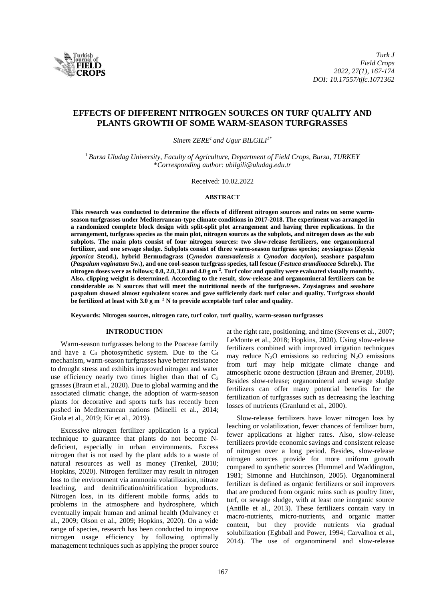

# **EFFECTS OF DIFFERENT NITROGEN SOURCES ON TURF QUALITY AND PLANTS GROWTH OF SOME WARM-SEASON TURFGRASSES**

*Sinem ZERE<sup>1</sup>and Ugur BILGILI1\**

<sup>1</sup>*Bursa Uludag University, Faculty of Agriculture, Department of Field Crops, Bursa, TURKEY* \**Corresponding author: ubilgili@uludag.edu.tr*

Received: 10.02.2022

#### **ABSTRACT**

**This research was conducted to determine the effects of different nitrogen sources and rates on some warmseason turfgrasses under Mediterranean-type climate conditions in 2017-2018. The experiment was arranged in a randomized complete block design with split-split plot arrangement and having three replications. In the arrangement, turfgrass species as the main plot, nitrogen sources as the subplots, and nitrogen doses as the sub subplots. The main plots consist of four nitrogen sources: two slow-release fertilizers, one organomineral fertilizer, and one sewage sludge. Subplots consist of three warm-season turfgrass species; zoysiagrass (***Zoysia japonica* **Steud.), hybrid Bermudagrass (***Cynodon transvaalensis x Cynodon dactylon***), seashore paspalum (***Paspalum vaginatum* **Sw.), and one cool-season turfgrass species, tall fescue (***Festuca arundinacea* **Schreb.). The nitrogen doses were as follows; 0.0, 2.0, 3.0 and 4.0 g m-2 . Turf color and quality were evaluated visually monthly. Also, clipping weight is determined. According to the result, slow-release and organomineral fertilizers can be considerable as N sources that will meet the nutritional needs of the turfgrasses. Zoysiagrass and seashore paspalum showed almost equivalent scores and gave sufficiently dark turf color and quality. Turfgrass should be fertilized at least with 3.0 g m−2 N to provide acceptable turf color and quality.** 

**Keywords: Nitrogen sources, nitrogen rate, turf color, turf quality, warm-season turfgrasses**

## **INTRODUCTION**

Warm-season turfgrasses belong to the Poaceae family and have a  $C_4$  photosynthetic system. Due to the  $C_4$ mechanism, warm-season turfgrasses have better resistance to drought stress and exhibits improved nitrogen and water use efficiency nearly two times higher than that of  $C_3$ grasses (Braun et al., 2020). Due to global warming and the associated climatic change, the adoption of warm-season plants for decorative and sports turfs has recently been pushed in Mediterranean nations (Minelli et al., 2014; Giola et al., 2019; Kir et al., 2019).

Excessive nitrogen fertilizer application is a typical technique to guarantee that plants do not become Ndeficient, especially in urban environments. Excess nitrogen that is not used by the plant adds to a waste of natural resources as well as money (Trenkel, 2010; Hopkins, 2020). Nitrogen fertilizer may result in nitrogen loss to the environment via ammonia volatilization, nitrate leaching, and denitrification/nitrification byproducts. Nitrogen loss, in its different mobile forms, adds to problems in the atmosphere and hydrosphere, which eventually impair human and animal health (Mulvaney et al., 2009; Olson et al., 2009; Hopkins, 2020). On a wide range of species, research has been conducted to improve nitrogen usage efficiency by following optimally management techniques such as applying the proper source

at the right rate, positioning, and time (Stevens et al., 2007; LeMonte et al., 2018; Hopkins, 2020). Using slow-release fertilizers combined with improved irrigation techniques may reduce  $N_2O$  emissions so reducing  $N_2O$  emissions from turf may help mitigate climate change and atmospheric ozone destruction (Braun and Bremer, 2018). Besides slow-release; organomineral and sewage sludge fertilizers can offer many potential benefits for the fertilization of turfgrasses such as decreasing the leaching losses of nutrients (Granlund et al., 2000).

Slow-release fertilizers have lower nitrogen loss by leaching or volatilization, fewer chances of fertilizer burn, fewer applications at higher rates. Also, slow-release fertilizers provide economic savings and consistent release of nitrogen over a long period. Besides, slow-release nitrogen sources provide for more uniform growth compared to synthetic sources (Hummel and Waddington, 1981; Simonne and Hutchinson, 2005). Organomineral fertilizer is defined as organic fertilizers or soil improvers that are produced from organic ruins such as poultry litter, turf, or sewage sludge, with at least one inorganic source (Antille et al., 2013). These fertilizers contain vary in macro-nutrients, micro-nutrients, and organic matter content, but they provide nutrients via gradual solubilization (Eghball and Power, 1994; Carvalhoa et al., 2014). The use of organomineral and slow-release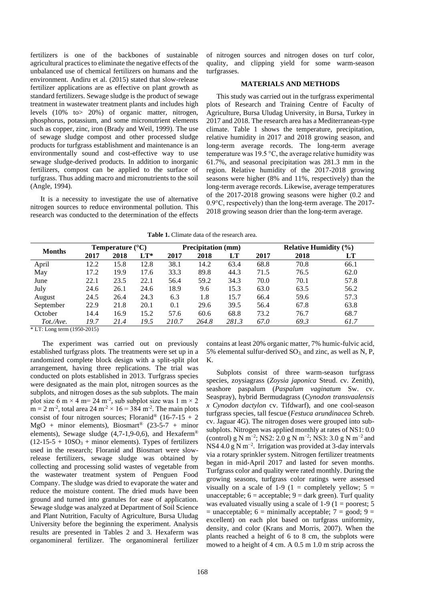fertilizers is one of the backbones of sustainable agricultural practices to eliminate the negative effects of the unbalanced use of chemical fertilizers on humans and the environment. Andiru et al. (2015) stated that slow-release fertilizer applications are as effective on plant growth as standard fertilizers. Sewage sludge is the product of sewage treatment in wastewater treatment plants and includes high levels (10% to> 20%) of organic matter, nitrogen, phosphorus, potassium, and some micronutrient elements such as copper, zinc, iron (Brady and Weil, 1999). The use of sewage sludge compost and other processed sludge products for turfgrass establishment and maintenance is an environmentally sound and cost-effective way to use sewage sludge-derived products. In addition to inorganic fertilizers, compost can be applied to the surface of turfgrass. Thus adding macro and micronutrients to the soil (Angle, 1994).

It is a necessity to investigate the use of alternative nitrogen sources to reduce environmental pollution. This research was conducted to the determination of the effects

of nitrogen sources and nitrogen doses on turf color, quality, and clipping yield for some warm-season turfgrasses.

#### **MATERIALS AND METHODS**

This study was carried out in the turfgrass experimental plots of Research and Training Centre of Faculty of Agriculture, Bursa Uludag University, in Bursa, Turkey in 2017 and 2018. The research area has a Mediterranean-type climate. Table 1 shows the temperature, precipitation, relative humidity in 2017 and 2018 growing season, and long-term average records. The long-term average temperature was 19.5 °C, the average relative humidity was 61.7%, and seasonal precipitation was 281.3 mm in the region. Relative humidity of the 2017-2018 growing seasons were higher (8% and 11%, respectively) than the long-term average records. Likewise, average temperatures of the 2017-2018 growing seasons were higher (0.2 and 0.9°C, respectively) than the long-term average. The 2017- 2018 growing season drier than the long-term average.

**Table 1.** Climate data of the research area.

| <b>Months</b> | Temperature $(^{\circ}C)$ |      |        | <b>Precipitation</b> (mm) |       |       | <b>Relative Humidity</b> $(\%)$ |      |      |  |
|---------------|---------------------------|------|--------|---------------------------|-------|-------|---------------------------------|------|------|--|
|               | 2017                      | 2018 | $LT^*$ | 2017                      | 2018  | LT    | 2017                            | 2018 | LT   |  |
| April         | 12.2                      | 15.8 | 12.8   | 38.1                      | 14.2  | 63.4  | 68.8                            | 70.8 | 66.1 |  |
| May           | 17.2                      | 19.9 | 17.6   | 33.3                      | 89.8  | 44.3  | 71.5                            | 76.5 | 62.0 |  |
| June          | 22.1                      | 23.5 | 22.1   | 56.4                      | 59.2  | 34.3  | 70.0                            | 70.1 | 57.8 |  |
| July          | 24.6                      | 26.1 | 24.6   | 18.9                      | 9.6   | 15.3  | 63.0                            | 63.5 | 56.2 |  |
| August        | 24.5                      | 26.4 | 24.3   | 6.3                       | 1.8   | 15.7  | 66.4                            | 59.6 | 57.3 |  |
| September     | 22.9                      | 21.8 | 20.1   | 0.1                       | 29.6  | 39.5  | 56.4                            | 67.8 | 63.8 |  |
| October       | 14.4                      | 16.9 | 15.2   | 57.6                      | 60.6  | 68.8  | 73.2                            | 76.7 | 68.7 |  |
| Tot./Ave.     | 19.7                      | 21.4 | 19.5   | 210.7                     | 264.8 | 281.3 | 67.0                            | 69.3 | 61.7 |  |

\* LT: Long term (1950-2015)

The experiment was carried out on previously established turfgrass plots. The treatments were set up in a randomized complete block design with a split-split plot arrangement, having three replications. The trial was conducted on plots established in 2013. Turfgrass species were designated as the main plot, nitrogen sources as the subplots, and nitrogen doses as the sub subplots. The main plot size 6 m  $\times$  4 m= 24 m<sup>-2</sup>, sub subplot size was 1 m  $\times$  2  $m = 2 m<sup>-2</sup>$ , total area 24 m<sup>-2</sup> × 16 = 384 m<sup>-2</sup>. The main plots consist of four nitrogen sources; Floranid® (16-7-15 + 2 MgO + minor elements), Biosmart<sup>®</sup> (23-5-7 + minor elements), Sewage sludge  $(4.7-1.9-0.6)$ , and Hexaferm<sup>®</sup>  $(12-15-5 + 10SO<sub>3</sub> + minor elements)$ . Types of fertilizers used in the research; Floranid and Biosmart were slowrelease fertilizers, sewage sludge was obtained by collecting and processing solid wastes of vegetable from the wastewater treatment system of Penguen Food Company. The sludge was dried to evaporate the water and reduce the moisture content. The dried muds have been ground and turned into granules for ease of application. Sewage sludge was analyzed at Department of Soil Science and Plant Nutrition, Faculty of Agriculture, Bursa Uludag University before the beginning the experiment. Analysis results are presented in Tables 2 and 3. Hexaferm was organomineral fertilizer. The organomineral fertilizer

contains at least 20% organic matter, 7% humic-fulvic acid, 5% elemental sulfur-derived  $SO_3$  and zinc, as well as N, P, K.

Subplots consist of three warm-season turfgrass species, zoysiagrass (*Zoysia japonica* Steud. cv. Zenith), seashore paspalum (*Paspalum vaginatum* Sw. cv. Seaspray), hybrid Bermudagrass (*Cynodon transvaalensis x Cynodon dactylon* cv. Tifdwarf), and one cool-season turfgrass species, tall fescue (*Festuca arundinacea* Schreb. cv. Jaguar 4G). The nitrogen doses were grouped into subsubplots. Nitrogen was applied monthly at rates of NS1: 0.0 (control) g N m<sup>-2</sup>; NS2: 2.0 g N m<sup>-2</sup>; NS3: 3.0 g N m<sup>-2</sup> and NS4 4.0 g N m−2 . Irrigation was provided at 3-day intervals via a rotary sprinkler system. Nitrogen fertilizer treatments began in mid-April 2017 and lasted for seven months. Turfgrass color and quality were rated monthly. During the growing seasons, turfgrass color ratings were assessed visually on a scale of 1-9 (1 = completely yellow;  $5 =$ unacceptable;  $6 =$  acceptable;  $9 =$  dark green). Turf quality was evaluated visually using a scale of  $1-9$  ( $1 =$  poorest; 5  $=$  unacceptable; 6  $=$  minimally acceptable; 7  $=$  good; 9  $=$ excellent) on each plot based on turfgrass uniformity, density, and color (Krans and Morris, 2007). When the plants reached a height of 6 to 8 cm, the subplots were mowed to a height of 4 cm. A 0.5 m 1.0 m strip across the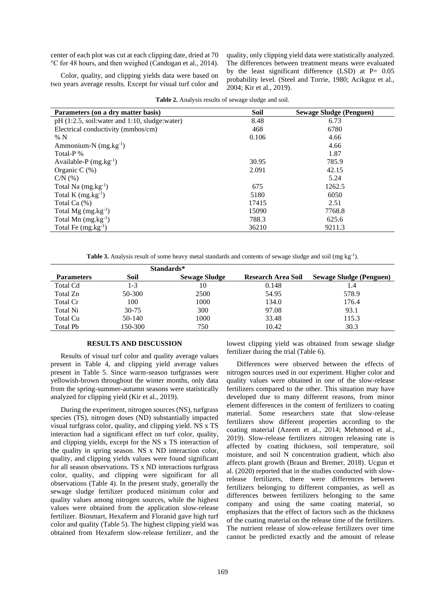center of each plot was cut at each clipping date, dried at 70 °C for 48 hours, and then weighed (Candogan et al., 2014).

Color, quality, and clipping yields data were based on two years average results. Except for visual turf color and quality, only clipping yield data were statistically analyzed. The differences between treatment means were evaluated by the least significant difference (LSD) at  $P= 0.05$ probability level. (Steel and Torrie, 1980; Acikgoz et al., 2004; Kir et al., 2019).

**Parameters (on a dry matter basis) Soil Sewage Sludge (Penguen)** pH (1:2.5, soil:water and 1:10, sludge:water) 8.48 6.73 Electrical conductivity (mmhos/cm) 468 6780 % N  $0.106$  4.66 Ammonium-N  $(mg \text{.} kg^{-1})$  $(4.66$ Total-P % 1.87 Available-P  $(mg.kg^{-1})$ ) 30.95 785.9 Organic C (%) 2.091 42.15  $C/N$  (%) 5.24 Total Na  $(mg.kg^{-1})$  $(675)$  1262.5 Total K  $(mg.kg^{-1})$  $5180$  6050 Total Ca (%) 17415 2.51 Total  $Mg$  (mg.kg<sup>-1</sup>) ) 15090 7768.8 Total Mn  $(mg.kg^{-1})$ ) 788.3 625.6 Total Fe  $(mg.kg^{-1})$ ) 36210 9211.3

**Table 2.** Analysis results of sewage sludge and soil.

Table 3. Analysis result of some heavy metal standards and contents of sewage sludge and soil (mg kg<sup>-1</sup>).

|                   |           | Standards*           |                           |                                |
|-------------------|-----------|----------------------|---------------------------|--------------------------------|
| <b>Parameters</b> | Soil      | <b>Sewage Sludge</b> | <b>Research Area Soil</b> | <b>Sewage Sludge (Penguen)</b> |
| <b>Total Cd</b>   | 1-3       | 10                   | 0.148                     | 1.4                            |
| Total Zn          | 50-300    | 2500                 | 54.95                     | 578.9                          |
| Total Cr          | 100       | 1000                 | 134.0                     | 176.4                          |
| Total Ni          | $30 - 75$ | 300                  | 97.08                     | 93.1                           |
| Total Cu          | 50-140    | 1000                 | 33.48                     | 115.3                          |
| Total Pb          | 150-300   | 750                  | 10.42                     | 30.3                           |

### **RESULTS AND DISCUSSION**

Results of visual turf color and quality average values present in Table 4, and clipping yield average values present in Table 5. Since warm-season turfgrasses were yellowish-brown throughout the winter months, only data from the spring-summer-autumn seasons were statistically analyzed for clipping yield (Kir et al., 2019).

During the experiment, nitrogen sources (NS), turfgrass species (TS), nitrogen doses (ND) substantially impacted visual turfgrass color, quality, and clipping yield. NS x TS interaction had a significant effect on turf color, quality, and clipping yields, except for the NS x TS interaction of the quality in spring season. NS x ND interaction color, quality, and clipping yields values were found significant for all season observations. TS x ND interactions turfgrass color, quality, and clipping were significant for all observations (Table 4). In the present study, generally the sewage sludge fertilizer produced minimum color and quality values among nitrogen sources, while the highest values were obtained from the application slow-release fertilizer. Biosmart, Hexaferm and Floranid gave high turf color and quality (Table 5). The highest clipping yield was obtained from Hexaferm slow-release fertilizer, and the lowest clipping yield was obtained from sewage sludge fertilizer during the trial (Table 6).

Differences were observed between the effects of nitrogen sources used in our experiment. Higher color and quality values were obtained in one of the slow-release fertilizers compared to the other. This situation may have developed due to many different reasons, from minor element differences in the content of fertilizers to coating material. Some researchers state that slow-release fertilizers show different properties according to the coating material (Azeem et al., 2014; Mehmood et al., 2019). Slow-release fertilizers nitrogen releasing rate is affected by coating thickness, soil temperature, soil moisture, and soil N concentration gradient, which also affects plant growth (Braun and Bremer, 2018). Ucgun et al. (2020) reported that in the studies conducted with slowrelease fertilizers, there were differences between fertilizers belonging to different companies, as well as differences between fertilizers belonging to the same company and using the same coating material, so emphasizes that the effect of factors such as the thickness of the coating material on the release time of the fertilizers. The nutrient release of slow-release fertilizers over time cannot be predicted exactly and the amount of release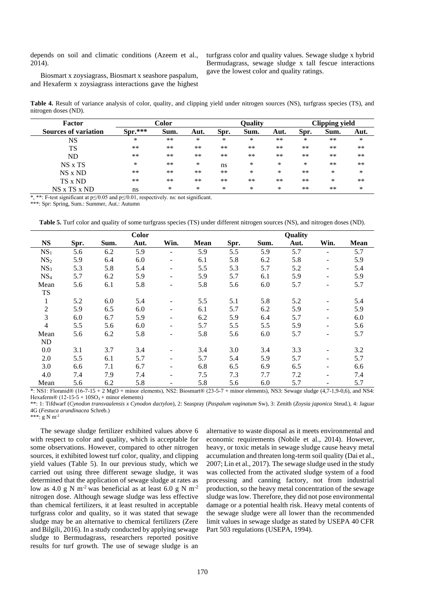depends on soil and climatic conditions (Azeem et al., 2014).

Biosmart x zoysiagrass, Biosmart x seashore paspalum, and Hexaferm x zoysiagrass interactions gave the highest turfgrass color and quality values. Sewage sludge x hybrid Bermudagrass, sewage sludge x tall fescue interactions gave the lowest color and quality ratings.

**Table 4.** Result of variance analysis of color, quality, and clipping yield under nitrogen sources (NS), turfgrass species (TS), and nitrogen doses (ND).

| Factor                      | Color     |      |      | <b>Quality</b> |      |      | Clipping yield |      |        |
|-----------------------------|-----------|------|------|----------------|------|------|----------------|------|--------|
| <b>Sources of variation</b> | $Spr.***$ | Sum. | Aut. | Spr.           | Sum. | Aut. | Spr.           | Sum. | Aut.   |
| <b>NS</b>                   | *         | $**$ | *    | *              | *    | $**$ | *              | $**$ | $\ast$ |
| TS                          | **        | $**$ | $**$ | $**$           | $**$ | $**$ | $**$           | $**$ | $***$  |
| ND                          | $**$      | $**$ | **   | $***$          | $**$ | $**$ | $**$           | $**$ | $***$  |
| $NS \times TS$              | *         | $**$ | ∗    | ns             | *    | *    | *              | $**$ | $***$  |
| $NS \times ND$              | $**$      | $**$ | **   | $**$           | *    | *    | $**$           | *    | ∗      |
| TS x ND                     | $**$      | $**$ | $**$ | $**$           | $**$ | $**$ | $**$           | ∗    | $***$  |
| $NS \times TS \times ND$    | ns        | *    | *    | *              | *    | *    | $**$           | $**$ | *      |

\*, \*\*: F-test significant at p≤/0.05 and p≤/0.01, respectively. ns: not significant.

\*\*\*: Spr: Spring, Sum.: Summer, Aut.: Autumn

**Table 5.** Turf color and quality of some turfgrass species (TS) under different nitrogen sources (NS), and nitrogen doses (ND).

|                 |      |      | <b>Color</b> |                              |             |      |      | Quality |                          |             |
|-----------------|------|------|--------------|------------------------------|-------------|------|------|---------|--------------------------|-------------|
| <b>NS</b>       | Spr. | Sum. | Aut.         | Win.                         | <b>Mean</b> | Spr. | Sum. | Aut.    | Win.                     | <b>Mean</b> |
| NS <sub>1</sub> | 5.6  | 6.2  | 5.9          |                              | 5.9         | 5.5  | 5.9  | 5.7     |                          | 5.7         |
| NS <sub>2</sub> | 5.9  | 6.4  | 6.0          | $\blacksquare$               | 6.1         | 5.8  | 6.2  | 5.8     |                          | 5.9         |
| NS <sub>3</sub> | 5.3  | 5.8  | 5.4          | $\overline{a}$               | 5.5         | 5.3  | 5.7  | 5.2     |                          | 5.4         |
| NS <sub>4</sub> | 5.7  | 6.2  | 5.9          | $\overline{a}$               | 5.9         | 5.7  | 6.1  | 5.9     |                          | 5.9         |
| Mean            | 5.6  | 6.1  | 5.8          | $\overline{a}$               | 5.8         | 5.6  | 6.0  | 5.7     |                          | 5.7         |
| <b>TS</b>       |      |      |              |                              |             |      |      |         |                          |             |
| $\mathbf{1}$    | 5.2  | 6.0  | 5.4          | $\overline{a}$               | 5.5         | 5.1  | 5.8  | 5.2     |                          | 5.4         |
| $\overline{2}$  | 5.9  | 6.5  | 6.0          | $\overline{a}$               | 6.1         | 5.7  | 6.2  | 5.9     |                          | 5.9         |
| 3               | 6.0  | 6.7  | 5.9          | ٠                            | 6.2         | 5.9  | 6.4  | 5.7     |                          | 6.0         |
| 4               | 5.5  | 5.6  | 6.0          | ٠                            | 5.7         | 5.5  | 5.5  | 5.9     |                          | 5.6         |
| Mean            | 5.6  | 6.2  | 5.8          | $\overline{a}$               | 5.8         | 5.6  | 6.0  | 5.7     |                          | 5.7         |
| ND              |      |      |              |                              |             |      |      |         |                          |             |
| 0.0             | 3.1  | 3.7  | 3.4          | $\overline{a}$               | 3.4         | 3.0  | 3.4  | 3.3     |                          | 3.2         |
| 2.0             | 5.5  | 6.1  | 5.7          | $\qquad \qquad \blacksquare$ | 5.7         | 5.4  | 5.9  | 5.7     | $\overline{\phantom{a}}$ | 5.7         |
| 3.0             | 6.6  | 7.1  | 6.7          | $\overline{a}$               | 6.8         | 6.5  | 6.9  | 6.5     |                          | 6.6         |
| 4.0             | 7.4  | 7.9  | 7.4          | ٠                            | 7.5         | 7.3  | 7.7  | 7.2     | $\overline{\phantom{a}}$ | 7.4         |
| Mean            | 5.6  | 6.2  | 5.8          | ٠                            | 5.8         | 5.6  | 6.0  | 5.7     |                          | 5.7         |

\*: NS1: Floranid® (16-7-15 + 2 MgO + minor elements), NS2: Biosmart® (23-5-7 + minor elements), NS3: Sewage sludge (4,7-1,9-0,6), and NS4: Hexaferm $\Re$  (12-15-5 + 10SO<sub>3</sub> + minor elements)

\*\*: 1: Tifdwarf (*Cynodon transvaalensis x Cynodon dactylon*), 2: Seaspray (*Paspalum vaginatum* Sw), 3: Zenith (*Zoysia japonica* Steud.), 4: Jaguar 4G (*Festuca arundinacea* Schreb.)

\*\*\*: g N m-2

The sewage sludge fertilizer exhibited values above 6 with respect to color and quality, which is acceptable for some observations. However, compared to other nitrogen sources, it exhibited lowest turf color, quality, and clipping yield values (Table 5). In our previous study, which we carried out using three different sewage sludge, it was determined that the application of sewage sludge at rates as low as 4.0 g N m<sup>-2</sup> was beneficial as at least 6.0 g N m<sup>-2</sup> nitrogen dose. Although sewage sludge was less effective than chemical fertilizers, it at least resulted in acceptable turfgrass color and quality, so it was stated that sewage sludge may be an alternative to chemical fertilizers (Zere and Bilgili, 2016). In a study conducted by applying sewage sludge to Bermudagrass, researchers reported positive results for turf growth. The use of sewage sludge is an

alternative to waste disposal as it meets environmental and economic requirements (Nobile et al., 2014). However, heavy, or toxic metals in sewage sludge cause heavy metal accumulation and threaten long-term soil quality (Dai et al., 2007; Lin et al., 2017). The sewage sludge used in the study was collected from the activated sludge system of a food processing and canning factory, not from industrial production, so the heavy metal concentration of the sewage sludge was low. Therefore, they did not pose environmental damage or a potential health risk. Heavy metal contents of the sewage sludge were all lower than the recommended limit values in sewage sludge as stated by USEPA 40 CFR Part 503 regulations (USEPA, 1994).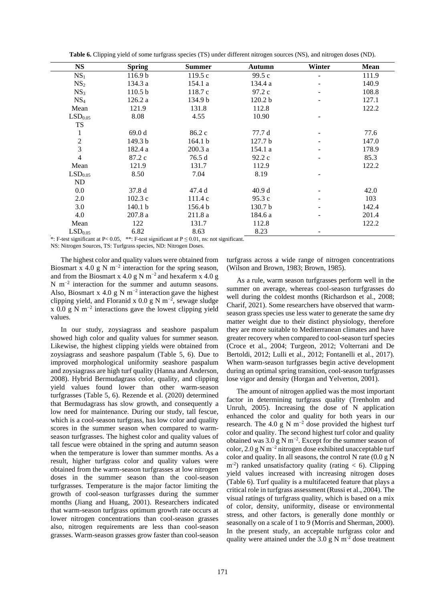| <b>NS</b>           | <b>Spring</b>      | <b>Summer</b> | <b>Autumn</b>      | Winter | <b>Mean</b> |
|---------------------|--------------------|---------------|--------------------|--------|-------------|
| NS <sub>1</sub>     | 116.9 <sub>b</sub> | 119.5c        | 99.5 c             | -      | 111.9       |
| NS <sub>2</sub>     | 134.3 a            | 154.1 a       | 134.4 a            |        | 140.9       |
| NS <sub>3</sub>     | 110.5 <sub>b</sub> | 118.7 c       | 97.2 c             |        | 108.8       |
| NS <sub>4</sub>     | 126.2 a            | 134.9 b       | 120.2 <sub>b</sub> |        | 127.1       |
| Mean                | 121.9              | 131.8         | 112.8              |        | 122.2       |
| LSD <sub>0.05</sub> | 8.08               | 4.55          | 10.90              |        |             |
| <b>TS</b>           |                    |               |                    |        |             |
| 1                   | 69.0d              | 86.2 c        | 77.7 d             |        | 77.6        |
| $\sqrt{2}$          | 149.3 <sub>b</sub> | 164.1 b       | 127.7 <sub>b</sub> |        | 147.0       |
| $\overline{3}$      | 182.4 a            | 200.3a        | 154.1 a            |        | 178.9       |
| $\overline{4}$      | 87.2c              | 76.5 d        | 92.2c              |        | 85.3        |
| Mean                | 121.9              | 131.7         | 112.9              |        | 122.2       |
| LSD <sub>0.05</sub> | 8.50               | 7.04          | 8.19               |        |             |
| ND                  |                    |               |                    |        |             |
| 0.0                 | 37.8 d             | 47.4 d        | 40.9d              |        | 42.0        |
| 2.0                 | 102.3c             | 111.4 c       | 95.3c              |        | 103         |
| 3.0                 | 140.1 <sub>b</sub> | 156.4 b       | 130.7 <sub>b</sub> |        | 142.4       |
| 4.0                 | 207.8a             | 211.8 a       | 184.6 a            |        | 201.4       |
| Mean                | 122                | 131.7         | 112.8              |        | 122.2       |
| LSD <sub>0.05</sub> | 6.82               | 8.63          | 8.23               |        |             |

**Table 6.** Clipping yield of some turfgrass species (TS) under different nitrogen sources (NS), and nitrogen doses (ND).

\*: F-test significant at P< 0.05, \*\*: F-test significant at P ≤ 0*.*01, ns: not significant.

NS: Nitrogen Sources, TS: Turfgrass species, ND: Nitrogen Doses.

The highest color and quality values were obtained from Biosmart x 4.0 g N m<sup>-2</sup> interaction for the spring season, and from the Biosmart x 4.0 g N m<sup>-2</sup> and hexaferm x 4.0 g N m<sup>-2</sup> interaction for the summer and autumn seasons. Also, Biosmart x 4.0 g N m<sup>-2</sup> interaction gave the highest clipping yield, and Floranid x 0.0 g N m<sup>-2</sup>, sewage sludge  $x$  0.0 g N m<sup>-2</sup> interactions gave the lowest clipping yield values.

In our study, zoysiagrass and seashore paspalum showed high color and quality values for summer season. Likewise, the highest clipping yields were obtained from zoysiagrass and seashore paspalum (Table 5, 6). Due to improved morphological uniformity seashore paspalum and zoysiagrass are high turf quality (Hanna and Anderson, 2008). Hybrid Bermudagrass color, quality, and clipping yield values found lower than other warm-season turfgrasses (Table 5, 6). Rezende et al. (2020) determined that Bermudagrass has slow growth, and consequently a low need for maintenance. During our study, tall fescue, which is a cool-season turfgrass, has low color and quality scores in the summer season when compared to warmseason turfgrasses. The highest color and quality values of tall fescue were obtained in the spring and autumn season when the temperature is lower than summer months. As a result, higher turfgrass color and quality values were obtained from the warm-season turfgrasses at low nitrogen doses in the summer season than the cool-season turfgrasses. Temperature is the major factor limiting the growth of cool-season turfgrasses during the summer months (Jiang and Huang, 2001). Researchers indicated that warm-season turfgrass optimum growth rate occurs at lower nitrogen concentrations than cool-season grasses also, nitrogen requirements are less than cool-season grasses. Warm-season grasses grow faster than cool-season

turfgrass across a wide range of nitrogen concentrations (Wilson and Brown, 1983; Brown, 1985).

As a rule, warm season turfgrasses perform well in the summer on average, whereas cool-season turfgrasses do well during the coldest months (Richardson et al., 2008; Charif, 2021). Some researchers have observed that warmseason grass species use less water to generate the same dry matter weight due to their distinct physiology, therefore they are more suitable to Mediterranean climates and have greater recovery when compared to cool-season turf species (Croce et al., 2004; Turgeon, 2012; Volterrani and De Bertoldi, 2012; Lulli et al., 2012; Fontanelli et al., 2017). When warm-season turfgrasses begin active development during an optimal spring transition, cool-season turfgrasses lose vigor and density (Horgan and Yelverton, 2001).

The amount of nitrogen applied was the most important factor in determining turfgrass quality (Trenholm and Unruh, 2005). Increasing the dose of N application enhanced the color and quality for both years in our research. The 4.0 g N m<sup>-2</sup> dose provided the highest turf color and quality. The second highest turf color and quality obtained was 3.0 g N m−2 . Except for the summer season of color, 2.0 g N m−2 nitrogen dose exhibited unacceptable turf color and quality. In all seasons, the control N rate  $(0.0 \text{ g N})$  $m<sup>-2</sup>$ ) ranked unsatisfactory quality (rating < 6). Clipping yield values increased with increasing nitrogen doses (Table 6). Turf quality is a multifaceted feature that plays a critical role in turfgrass assessment (Russi et al., 2004). The visual ratings of turfgrass quality, which is based on a mix of color, density, uniformity, disease or environmental stress, and other factors, is generally done monthly or seasonally on a scale of 1 to 9 (Morris and Sherman, 2000). In the present study, an acceptable turfgrass color and quality were attained under the 3.0 g N  $\mathrm{m}^2$  dose treatment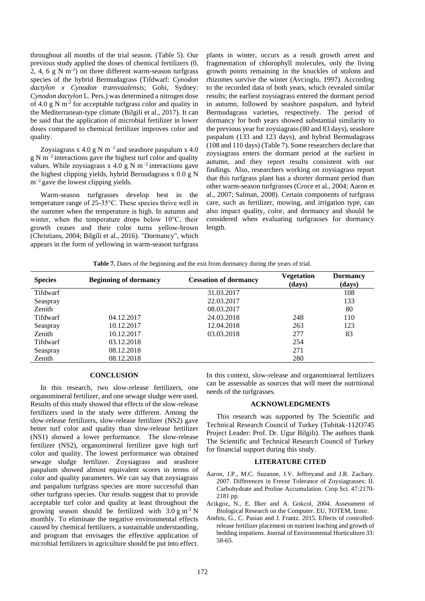throughout all months of the trial season. (Table 5). Our previous study applied the doses of chemical fertilizers (0, 2, 4, 6  $g$  N m<sup>-2</sup>) on three different warm-season turfgrass species of the hybrid Bermudagrass (Tifdwarf: *Cynodon dactylon x Cynodon transvaalensis*; Gobi, Sydney: *Cynodon dactylon* L. Pers.) was determined a nitrogen dose of 4.0  $\text{g}$  N m<sup>-2</sup> for acceptable turfgrass color and quality in the Mediterranean-type climate (Bilgili et al., 2017). It can be said that the application of microbial fertilizer in lower doses compared to chemical fertilizer improves color and quality.

Zoysiagrass x 4.0 g N m<sup>-2</sup> and seashore paspalum x 4.0 g N m<sup>-2</sup> interactions gave the highest turf color and quality values. While zoysiagrass x 4.0 g N m<sup>-2</sup> interactions gave the highest clipping yields, hybrid Bernudagrass x 0.0 g N m<sup>-2</sup> gave the lowest clipping yields.

Warm-season turfgrasses develop best in the temperature range of 25-35°C. These species thrive well in the summer when the temperature is high. In autumn and winter, when the temperature drops below 10°C, their growth ceases and their color turns yellow-brown (Christians, 2004; Bilgili et al., 2016). "Dormancy", which appears in the form of yellowing in warm-season turfgrass plants in winter, occurs as a result growth arrest and fragmentation of chlorophyll molecules, only the living growth points remaining in the knuckles of stolons and rhizomes survive the winter (Avcioglu, 1997). According to the recorded data of both years, which revealed similar results; the earliest zoysiagrass entered the dormant period in autumn, followed by seashore paspalum, and hybrid Bermudagrass varieties, respectively. The period of dormancy for both years showed substantial similarity to the previous year for zoysiagrass (80 and 83 days), seashore paspalum (133 and 123 days), and hybrid Bermudagrass (108 and 110 days) (Table 7). Some researchers declare that zoysiagrass enters the dormant period at the earliest in autumn, and they report results consistent with our findings. Also, researchers working on zoysiagrass report that this turfgrass plant has a shorter dormant period than other warm-season turfgrasses (Croce et al., 2004; Aaron et al., 2007; Salman, 2008). Certain components of turfgrass care, such as fertilizer, mowing, and irrigation type, can also impact quality, color, and dormancy and should be considered when evaluating turfgrasses for dormancy length.

Table 7. Dates of the beginning and the exit from dormancy during the years of trial.

| <b>Species</b>  | <b>Beginning of dormancy</b> | <b>Cessation of dormancy</b> | Vegetation<br>(days) | <b>Dormancy</b><br>(days) |
|-----------------|------------------------------|------------------------------|----------------------|---------------------------|
| Tifdwarf        |                              | 31.03.2017                   |                      | 108                       |
| Seaspray        |                              | 22.03.2017                   |                      | 133                       |
| Zenith          |                              | 08.03.2017                   |                      | 80                        |
| <b>Tifdwarf</b> | 04.12.2017                   | 24.03.2018                   | 248                  | 110                       |
| Seaspray        | 10.12.2017                   | 12.04.2018                   | 263                  | 123                       |
| Zenith          | 10.12.2017                   | 03.03.2018                   | 277                  | 83                        |
| Tifdwarf        | 03.12.2018                   |                              | 254                  |                           |
| Seaspray        | 08.12.2018                   |                              | 271                  |                           |
| Zenith          | 08.12.2018                   |                              | 280                  |                           |

## **CONCLUSION**

In this research, two slow-release fertilizers, one organomineral fertilizer, and one sewage sludge were used. Results of this study showed that effects of the slow-release fertilizers used in the study were different. Among the slow-release fertilizers, slow-release fertilizer (NS2) gave better turf color and quality than slow-release fertilizer (NS1) showed a lower performance. The slow-release fertilizer (NS2), organomineral fertilizer gave high turf color and quality. The lowest performance was obtained sewage sludge fertilizer. Zoysiagrass and seashore paspalum showed almost equivalent scores in terms of color and quality parameters. We can say that zoysiagrass and paspalum turfgrass species are more successful than other turfgrass species. Our results suggest that to provide acceptable turf color and quality at least throughout the growing season should be fertilized with  $3.0 \text{ g m}^{-2}$  N monthly. To eliminate the negative environmental effects caused by chemical fertilizers, a sustainable understanding, and program that envisages the effective application of microbial fertilizers in agriculture should be put into effect.

In this context, slow-release and organomineral fertilizers can be assessable as sources that will meet the nutritional needs of the turfgrasses.

#### **ACKNOWLEDGMENTS**

This research was supported by The Scientific and Technical Research Council of Turkey (Tubitak-112O745 Project Leader: Prof. Dr. Ugur Bilgili). The authors thank The Scientific and Technical Research Council of Turkey for financial support during this study.

## **LITERATURE CITED**

- Aaron, J.P., M.C. Suzanne, J.V. Jeffreyand and J.R. Zachary. 2007. Differences in Freeze Tolerance of Zoysiagrasses: II. Carbohydrate and Proline Accumulation. Crop Sci. 47:2170- 2181 pp.
- Acikgoz, N., E. Ilker and A. Gokcol, 2004. Assessment of Biological Research on the Computer. EU, TOTEM, Izmir.
- Andiru, G., C. Pasian and J. Frantz. 2015. Effects of controlledrelease fertilizer placement on nutrient leaching and growth of bedding impatiens. Journal of Environmental Horticulture 33: 58-65.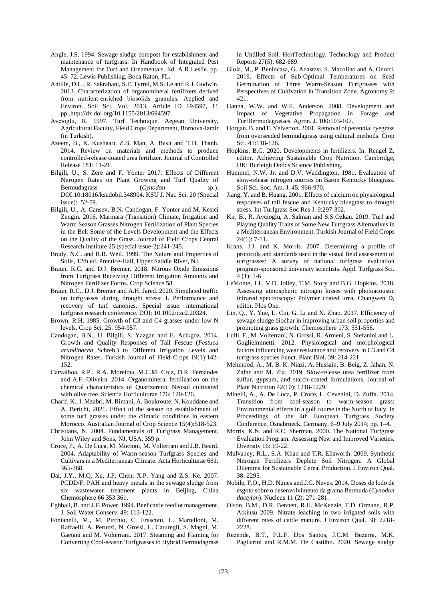- Angle, J.S. 1994. Sewage sludge compost for establishment and maintenance of turfgrass. In Handbook of Integrated Pest Management for Turf and Ornamentals. Ed. A R Leslie. pp. 45–72. Lewis Publishing, Boca Raton, FL.
- Antille, D.L., R. Sakrabani, S.F. Tyrrel, M.S. Le and R.J. Godwin. 2013. Characterization of organomineral fertilizers derived from nutrient-enriched biosolids granules. Applied and Environ. Soil Sci. Vol. 2013, Article ID 694597, 11 pp.,http://dx.doi.org/10.1155/2013/694597.
- Avcıoglu, R. 1997. Turf Technique. Aegean University, Agricultural Faculty, Field Crops Department, Bornova-Izmir (in Turkish).
- Azeem, B., K. Kushaari, Z.B. Man, A. Basit and T.H. Thanh. 2014. Review on materials and methods to produce controlled-release coated urea fertilizer. Journal of Controlled Release 181: 11-21.
- Bilgili, U., S. Zere and F. Yonter 2017. Effects of Different Nitrogen Rates on Plant Growing and Turf Quality of Bermudagrass (*Cynodon* sp.). DOI:10.18016/ksudobil.348904. KSU J. Nat. Sci. 20 (Special issue): 52-59.
- Bilgili, U., A. Cansev, B.N. Candogan, F. Yonter and M. Kesici Zengin. 2016. Marmara (Transition) Climate, Irrigation and Warm Season Grasses Nitrogen Fertilization of Plant Species in the Belt Some of the Levels Development and the Effects on the Quality of the Grass. Journal of Field Crops Central Research Institute 25 (special issue-2):241-245.
- Brady, N.C. and R.R. Weil. 1999. The Nature and Properties of Soils, 12th ed. Prentice-Hall, Upper Saddle River, NJ.
- Braun, R.C. and D.J. Bremer. 2018. Nitrous Oxide Emissions from Turfgrass Receiving Different Irrigation Amounts and Nitrogen Fertilizer Forms. Crop Science 58.
- Braun, R.C., D.J. Bremer and A.H. Jared. 2020. Simulated traffic on turfgrasses during drought stress: I. Performance and recovery of turf canopies. Special issue: international turfgrass research conference. DOI: 10.1002/csc2.20324.
- Brown, R.H. 1985. Growth of C3 and C4 grasses under low N levels. Crop Sci. 25: 954-957.
- Candogan, B.N., U. Bilgili, S. Yazgan and E. Acikgoz. 2014. Growth and Quality Responses of Tall Fescue (*Festuca arundinacea* Schreb.) to Different Irrigation Levels and Nitrogen Rates. Turkish Journal of Field Crops 19(1):142- 152.
- Carvalhoa, R.P., R.A. Moreiraa, M.C.M. Cruz, D.R. Fernandes and A.F. Oliveira. 2014. Organomineral fertilization on the chemical characteristics of Quartzarenic Neosol cultivated with olive tree. Scientia Horticulturae 176: 120-126.
- Charif, K., I. Mzabri, M. Rimani, A. Boukroute, N. Kouddane and A. Berichi, 2021. Effect of the season on establishment of some turf grasses under the climatic conditions in eastern Morocco. Australian Journal of Crop Science 15(4):518-523.
- Christians, N. 2004. Fundamentals of Turfgrass Management. John Wiley and Sons, NJ, USA, 359 p.
- Croce, P., A. De Luca, M. Mocioni, M. Volterrani and J.B. Beard. 2004. Adaptability of Warm-season Turfgrass Species and Cultivars in a Mediterranean Climate. Acta Horticulturae 661: 365-368.
- Dai, J.Y., M.Q. Xu, J.P. Chen, X.P. Yang and Z.S. Ke. 2007. PCDD/F, PAH and heavy metals in the sewage sludge from six wastewater treatment plants in Beijing, China Chemosphere 66 353 361.
- Eghball, B. and J.F. Power. 1994. Beef cattle feedlot management. J. Soil Water Conserv. 49: 113-122.
- Fontanelli, M., M. Pirchio, C. Frasconi, L. Martelloni, M. Raffaelli, A. Peruzzi, N. Grossi, L. Caturegli, S. Magni, M. Gaetani and M. Volterrani. 2017. Steaming and Flaming for Converting Cool-season Turfgrasses to Hybrid Bermudagrass

in Untilled Soil. HortTechnology, Technology and Product Reports 27(5): 682-689.

- Giola, M., P. Benincasa, G. Anastasi, S. Macolino and A. Onofri, 2019. Effects of Sub-Optimal Temperatures on Seed Germination of Three Warm-Season Turfgrasses with Perspectives of Cultivation in Transition Zone. Agronomy 9: 421.
- Hanna, W.W. and W.F. Anderson. 2008. Development and Impact of Vegetative Propagation in Forage and TurfBermudagrasses. Agron. J. 100:103-107.
- Horgan, B. and F. Yelverton. 2001. Removal of perennial ryegrass from overseeded bermudagrass using cultural methods. Crop Sci. 41:118-126.
- Hopkins, B.G. 2020. Developments in fertilizers. In: Rengel Z, editor. Achieving Sustainable Crop Nutrition. Cambridge, UK: Burleigh Dodds Science Publishing.
- Hummel, N.W. Jr. and D.V. Waddington. 1981. Evaluation of slow-release nitrogen sources on Baron Kentucky bluegrass. Soil Sci. Soc. Am. J. 45: 966-970.
- Jiang, Y. and B. Huang. 2001. Effects of calcium on physiological responses of tall fescue and Kentucky bluegrass to drought stress. Int Turfgrass Soc Res J. 9:297-302.
- Kir, B., R. Avcioglu, A. Salman and S.S Ozkan. 2019. Turf and Playing Quality Traits of Some New Turfgrass Alternatives in a Mediterranean Environment. Turkish Journal of Field Crops 24(1): 7-11.
- Krans, J.J. and K. Morris. 2007. Determining a profile of protocols and standards used in the visual field assessment of turfgrasses: A survey of national turfgrass evaluation program-sponsored university scientists. Appl. Turfgrass Sci. 4 (1): 1-6
- LeMonte, J.J., V.D. Jolley, T.M. Story and B.G. Hopkins. 2018. Assessing atmospheric nitrogen losses with photoacoustic infrared spectroscopy: Polymer coated urea. Changwen D, editor. Plos One.
- Lin, Q., Y. Yue, L. Cui, G. Li and X. Zhao. 2017. Efficiency of sewage sludge biochar in improving urban soil properties and promoting grass growth. Chemosphere 173: 551-556.
- Lulli, F., M. Volterrani, N. Grossi, R. Armeni, S. Stefanini and L. Guglielminetti. 2012. Physiological and morphological factors influencing wear resistance and recovery in C3 and C4 turfgrass species Funct. Plant Biol. 39: 214-221.
- Mehmood, A., M. B. K. Niazi, A. Hussain, B. Beig, Z. Jahan, N. Zafar and M. Zia. 2019. Slow-release urea fertilizer from sulfur, gypsum, and starch-coated formulations, Journal of Plant Nutrition 42(10): 1218-1229.
- Minelli, A., A. De Luca, P. Croce, L. Cevenini, D. Zuffa. 2014. Transition from cool-season to warm-season grass: Environmental effects in a golf course in the North of Italy. In Proceedings of the 4th European Turfgrass Society Conference, Osnabrueck, Germany, 6–9 July 2014; pp. 1–4.
- Morris, K.N. and R.C. Sherman. 2000. The National Turfgrass Evaluation Program: Assessing New and Improved Varieties. Diversity 16: 19-22.
- Mulvaney, R.L., S.A. Khan and T.R. Ellsworth. 2009. Synthetic Nitrogen Fertilizers Deplete Soil Nitrogen: A Global Dilemma for Sustainable Cereal Production. J Environ Qual. 38: 2295.
- Nobile, F.O., H.D. Nunes and J.C. Neves. 2014. Doses de lodo de esgoto sobre o desenvolvimento da grama Bermuda (*Cynodon dactylon*). Nucleus 11 (2): 271-281.
- Olson, B.M., D.R. Bennett, R.H. McKenzie, T.D. Ormann, R.P. Atkinsu 2009. Nitrate leaching in two irrigated soils with different rates of cattle manure. J Environ Qual. 38: 2218- 2228.
- Rezende, B.T., P.L.F. Dos Santos, J.C.M. Bezerra, M.K. Pagliarini and R.M.M. De Castilho. 2020. Sewage sludge